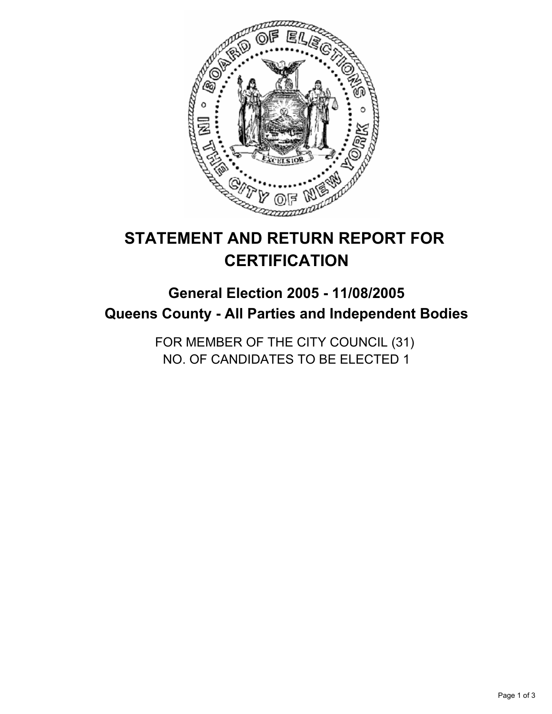

# **STATEMENT AND RETURN REPORT FOR CERTIFICATION**

## **General Election 2005 - 11/08/2005 Queens County - All Parties and Independent Bodies**

FOR MEMBER OF THE CITY COUNCIL (31) NO. OF CANDIDATES TO BE ELECTED 1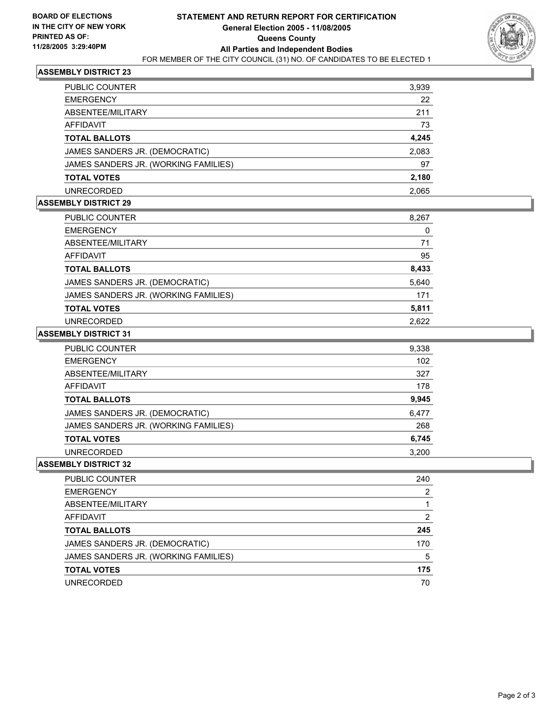

#### **ASSEMBLY DISTRICT 23**

| <b>PUBLIC COUNTER</b>                | 3,939 |
|--------------------------------------|-------|
| <b>EMERGENCY</b>                     | 22    |
| ABSENTEE/MILITARY                    | 211   |
| AFFIDAVIT                            | 73    |
| <b>TOTAL BALLOTS</b>                 | 4,245 |
| JAMES SANDERS JR. (DEMOCRATIC)       | 2,083 |
| JAMES SANDERS JR. (WORKING FAMILIES) | 97    |
| <b>TOTAL VOTES</b>                   | 2,180 |
| UNRECORDED                           | 2.065 |

#### **ASSEMBLY DISTRICT 29**

| PUBLIC COUNTER                       | 8,267 |
|--------------------------------------|-------|
| <b>EMERGENCY</b>                     | 0     |
| ABSENTEE/MILITARY                    | 71    |
| AFFIDAVIT                            | 95    |
| <b>TOTAL BALLOTS</b>                 | 8,433 |
| JAMES SANDERS JR. (DEMOCRATIC)       | 5,640 |
| JAMES SANDERS JR. (WORKING FAMILIES) | 171   |
| <b>TOTAL VOTES</b>                   | 5,811 |
| <b>UNRECORDED</b>                    | 2.622 |

#### **ASSEMBLY DISTRICT 31**

| <b>PUBLIC COUNTER</b>                | 9,338 |
|--------------------------------------|-------|
| <b>EMERGENCY</b>                     | 102   |
| ABSENTEE/MILITARY                    | 327   |
| AFFIDAVIT                            | 178   |
| <b>TOTAL BALLOTS</b>                 | 9,945 |
| JAMES SANDERS JR. (DEMOCRATIC)       | 6,477 |
| JAMES SANDERS JR. (WORKING FAMILIES) | 268   |
| <b>TOTAL VOTES</b>                   | 6,745 |
| <b>UNRECORDED</b>                    | 3.200 |

#### **ASSEMBLY DISTRICT 32**

| PUBLIC COUNTER                       | 240 |
|--------------------------------------|-----|
| <b>EMERGENCY</b>                     |     |
| ABSENTEE/MILITARY                    |     |
| AFFIDAVIT                            |     |
| <b>TOTAL BALLOTS</b>                 | 245 |
| JAMES SANDERS JR. (DEMOCRATIC)       | 170 |
| JAMES SANDERS JR. (WORKING FAMILIES) | 5   |
| <b>TOTAL VOTES</b>                   | 175 |
| <b>UNRECORDED</b>                    | 70  |